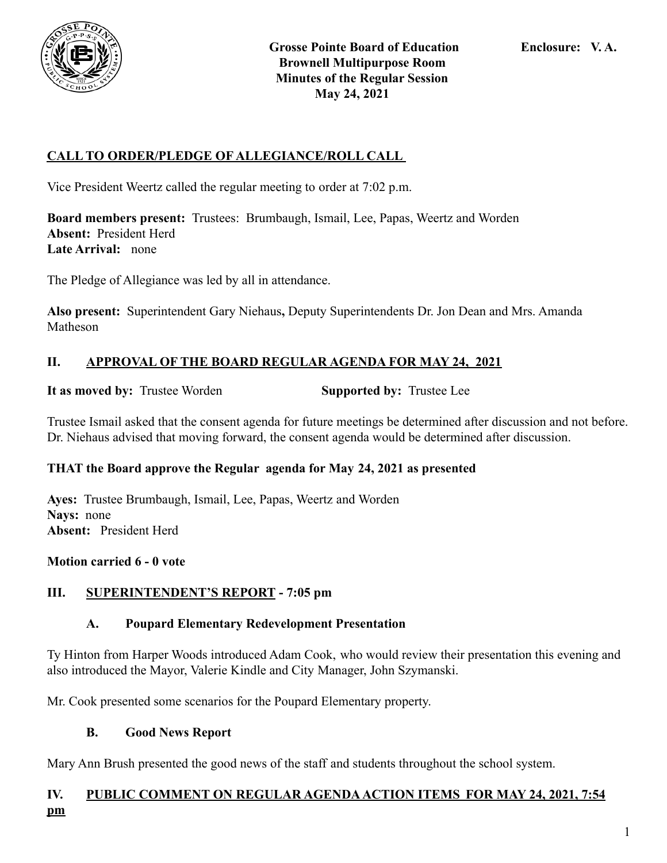

## **CALL TO ORDER/PLEDGE OF ALLEGIANCE/ROLL CALL**

Vice President Weertz called the regular meeting to order at 7:02 p.m.

**Board members present:** Trustees: Brumbaugh, Ismail, Lee, Papas, Weertz and Worden **Absent:** President Herd **Late Arrival:** none

The Pledge of Allegiance was led by all in attendance.

**Also present:** Superintendent Gary Niehaus**,** Deputy Superintendents Dr. Jon Dean and Mrs. Amanda Matheson

#### **II. APPROVAL OF THE BOARD REGULAR AGENDA FOR MAY 24, 2021**

**It as moved by:** Trustee Worden **Supported by:** Trustee Lee

Trustee Ismail asked that the consent agenda for future meetings be determined after discussion and not before. Dr. Niehaus advised that moving forward, the consent agenda would be determined after discussion.

#### **THAT the Board approve the Regular agenda for May 24, 2021 as presented**

**Ayes:** Trustee Brumbaugh, Ismail, Lee, Papas, Weertz and Worden **Nays:** none **Absent:** President Herd

#### **Motion carried 6 - 0 vote**

#### **III. SUPERINTENDENT'S REPORT - 7:05 pm**

#### **A. Poupard Elementary Redevelopment Presentation**

Ty Hinton from Harper Woods introduced Adam Cook, who would review their presentation this evening and also introduced the Mayor, Valerie Kindle and City Manager, John Szymanski.

Mr. Cook presented some scenarios for the Poupard Elementary property.

#### **B. Good News Report**

Mary Ann Brush presented the good news of the staff and students throughout the school system.

#### **IV. PUBLIC COMMENT ON REGULAR AGENDAACTION ITEMS FOR MAY 24, 2021, 7:54 pm**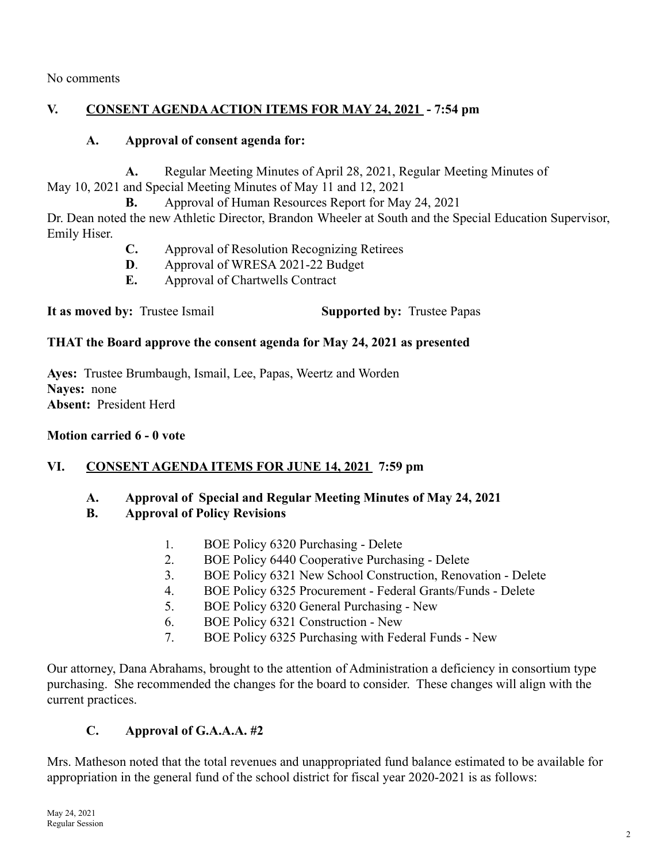No comments

## **V. CONSENT AGENDAACTION ITEMS FOR MAY 24, 2021 - 7:54 pm**

## **A. Approval of consent agenda for:**

**A.** Regular Meeting Minutes of April 28, 2021, Regular Meeting Minutes of May 10, 2021 and Special Meeting Minutes of May 11 and 12, 2021

**B.** Approval of Human Resources Report for May 24, 2021

Dr. Dean noted the new Athletic Director, Brandon Wheeler at South and the Special Education Supervisor, Emily Hiser.

- **C.** Approval of Resolution Recognizing Retirees
- **D**. Approval of WRESA 2021-22 Budget
- **E.** Approval of Chartwells Contract

**It as moved by:** Trustee Ismail **Supported by:** Trustee Papas

## **THAT the Board approve the consent agenda for May 24, 2021 as presented**

**Ayes:** Trustee Brumbaugh, Ismail, Lee, Papas, Weertz and Worden **Nayes:** none **Absent:** President Herd

## **Motion carried 6 - 0 vote**

## **VI. CONSENT AGENDA ITEMS FOR JUNE 14, 2021 7:59 pm**

**A. Approval of Special and Regular Meeting Minutes of May 24, 2021**

## **B. Approval of Policy Revisions**

- 1. BOE Policy 6320 Purchasing Delete
- 2. BOE Policy 6440 Cooperative Purchasing Delete
- 3. BOE Policy 6321 New School Construction, Renovation Delete
- 4. BOE Policy 6325 Procurement Federal Grants/Funds Delete
- 5. BOE Policy 6320 General Purchasing New
- 6. BOE Policy 6321 Construction New
- 7. BOE Policy 6325 Purchasing with Federal Funds New

Our attorney, Dana Abrahams, brought to the attention of Administration a deficiency in consortium type purchasing. She recommended the changes for the board to consider. These changes will align with the current practices.

# **C. Approval of G.A.A.A. #2**

Mrs. Matheson noted that the total revenues and unappropriated fund balance estimated to be available for appropriation in the general fund of the school district for fiscal year 2020-2021 is as follows: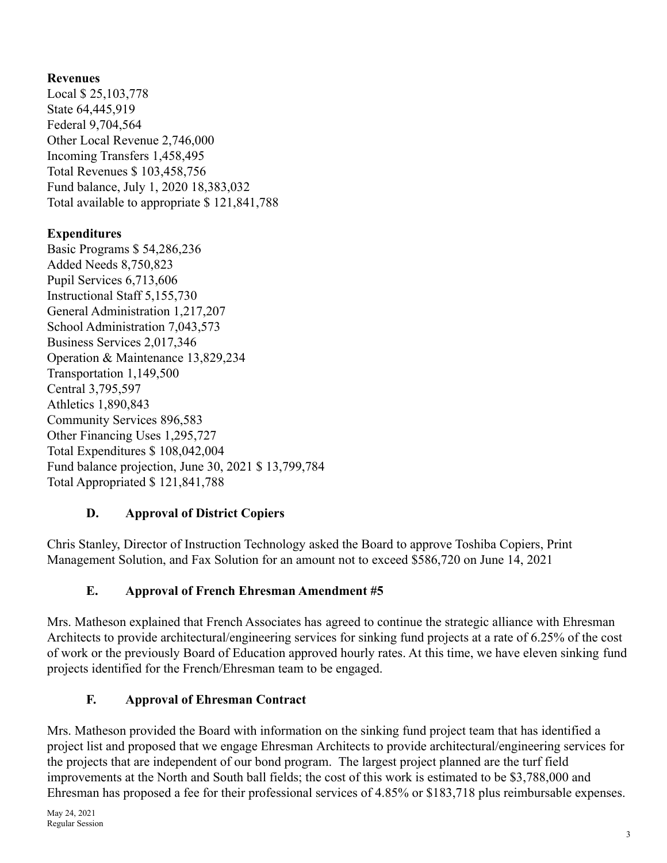## **Revenues**

Local \$ 25,103,778 State 64,445,919 Federal 9,704,564 Other Local Revenue 2,746,000 Incoming Transfers 1,458,495 Total Revenues \$ 103,458,756 Fund balance, July 1, 2020 18,383,032 Total available to appropriate \$ 121,841,788

## **Expenditures**

Basic Programs \$ 54,286,236 Added Needs 8,750,823 Pupil Services 6,713,606 Instructional Staff 5,155,730 General Administration 1,217,207 School Administration 7,043,573 Business Services 2,017,346 Operation & Maintenance 13,829,234 Transportation 1,149,500 Central 3,795,597 Athletics 1,890,843 Community Services 896,583 Other Financing Uses 1,295,727 Total Expenditures \$ 108,042,004 Fund balance projection, June 30, 2021 \$ 13,799,784 Total Appropriated \$ 121,841,788

## **D. Approval of District Copiers**

Chris Stanley, Director of Instruction Technology asked the Board to approve Toshiba Copiers, Print Management Solution, and Fax Solution for an amount not to exceed \$586,720 on June 14, 2021

# **E. Approval of French Ehresman Amendment #5**

Mrs. Matheson explained that French Associates has agreed to continue the strategic alliance with Ehresman Architects to provide architectural/engineering services for sinking fund projects at a rate of 6.25% of the cost of work or the previously Board of Education approved hourly rates. At this time, we have eleven sinking fund projects identified for the French/Ehresman team to be engaged.

# **F. Approval of Ehresman Contract**

Mrs. Matheson provided the Board with information on the sinking fund project team that has identified a project list and proposed that we engage Ehresman Architects to provide architectural/engineering services for the projects that are independent of our bond program. The largest project planned are the turf field improvements at the North and South ball fields; the cost of this work is estimated to be \$3,788,000 and Ehresman has proposed a fee for their professional services of 4.85% or \$183,718 plus reimbursable expenses.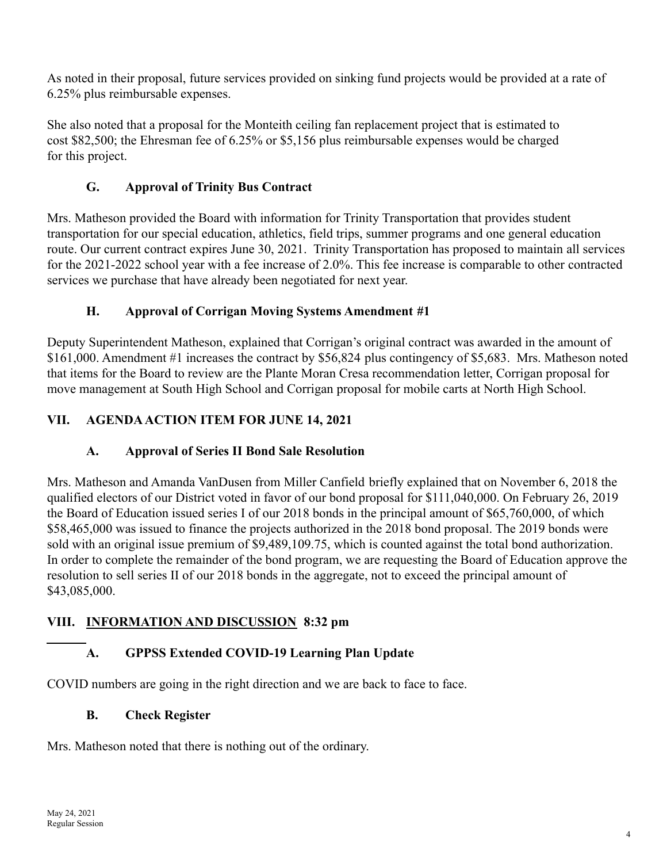As noted in their proposal, future services provided on sinking fund projects would be provided at a rate of 6.25% plus reimbursable expenses.

She also noted that a proposal for the Monteith ceiling fan replacement project that is estimated to cost \$82,500; the Ehresman fee of 6.25% or \$5,156 plus reimbursable expenses would be charged for this project.

## **G. Approval of Trinity Bus Contract**

Mrs. Matheson provided the Board with information for Trinity Transportation that provides student transportation for our special education, athletics, field trips, summer programs and one general education route. Our current contract expires June 30, 2021. Trinity Transportation has proposed to maintain all services for the 2021-2022 school year with a fee increase of 2.0%. This fee increase is comparable to other contracted services we purchase that have already been negotiated for next year.

## **H. Approval of Corrigan Moving Systems Amendment #1**

Deputy Superintendent Matheson, explained that Corrigan's original contract was awarded in the amount of \$161,000. Amendment #1 increases the contract by \$56,824 plus contingency of \$5,683. Mrs. Matheson noted that items for the Board to review are the Plante Moran Cresa recommendation letter, Corrigan proposal for move management at South High School and Corrigan proposal for mobile carts at North High School.

## **VII. AGENDAACTION ITEM FOR JUNE 14, 2021**

# **A. Approval of Series II Bond Sale Resolution**

Mrs. Matheson and Amanda VanDusen from Miller Canfield briefly explained that on November 6, 2018 the qualified electors of our District voted in favor of our bond proposal for \$111,040,000. On February 26, 2019 the Board of Education issued series I of our 2018 bonds in the principal amount of \$65,760,000, of which \$58,465,000 was issued to finance the projects authorized in the 2018 bond proposal. The 2019 bonds were sold with an original issue premium of \$9,489,109.75, which is counted against the total bond authorization. In order to complete the remainder of the bond program, we are requesting the Board of Education approve the resolution to sell series II of our 2018 bonds in the aggregate, not to exceed the principal amount of \$43,085,000.

# **VIII. INFORMATION AND DISCUSSION 8:32 pm**

# **A. GPPSS Extended COVID-19 Learning Plan Update**

COVID numbers are going in the right direction and we are back to face to face.

## **B. Check Register**

Mrs. Matheson noted that there is nothing out of the ordinary.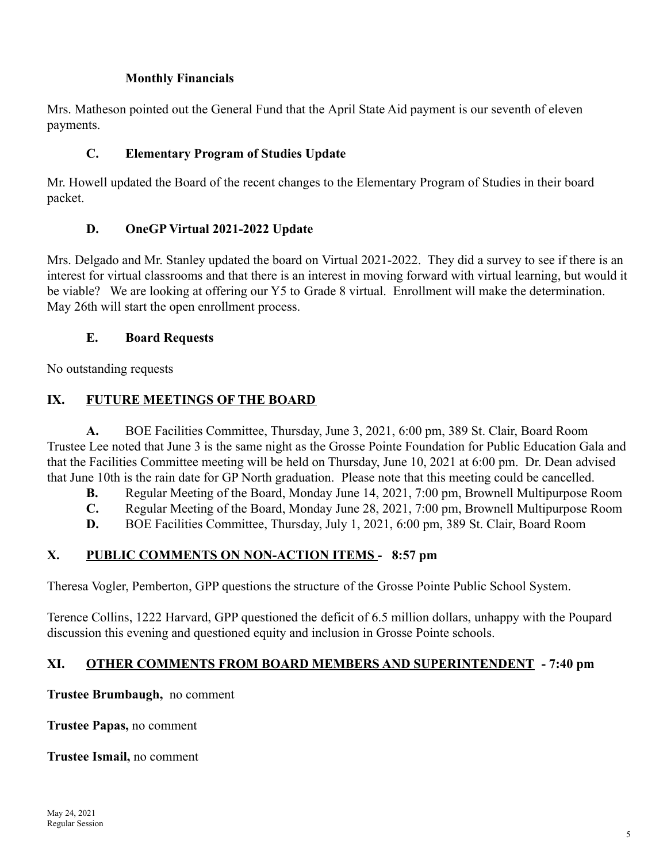### **Monthly Financials**

Mrs. Matheson pointed out the General Fund that the April State Aid payment is our seventh of eleven payments.

### **C. Elementary Program of Studies Update**

Mr. Howell updated the Board of the recent changes to the Elementary Program of Studies in their board packet.

## **D. OneGP Virtual 2021-2022 Update**

Mrs. Delgado and Mr. Stanley updated the board on Virtual 2021-2022. They did a survey to see if there is an interest for virtual classrooms and that there is an interest in moving forward with virtual learning, but would it be viable? We are looking at offering our Y5 to Grade 8 virtual. Enrollment will make the determination. May 26th will start the open enrollment process.

### **E. Board Requests**

No outstanding requests

## **IX. FUTURE MEETINGS OF THE BOARD**

**A.** BOE Facilities Committee, Thursday, June 3, 2021, 6:00 pm, 389 St. Clair, Board Room Trustee Lee noted that June 3 is the same night as the Grosse Pointe Foundation for Public Education Gala and that the Facilities Committee meeting will be held on Thursday, June 10, 2021 at 6:00 pm. Dr. Dean advised that June 10th is the rain date for GP North graduation. Please note that this meeting could be cancelled.

- **B.** Regular Meeting of the Board, Monday June 14, 2021, 7:00 pm, Brownell Multipurpose Room
- **C.** Regular Meeting of the Board, Monday June 28, 2021, 7:00 pm, Brownell Multipurpose Room
- **D.** BOE Facilities Committee, Thursday, July 1, 2021, 6:00 pm, 389 St. Clair, Board Room

## **X. PUBLIC COMMENTS ON NON-ACTION ITEMS - 8:57 pm**

Theresa Vogler, Pemberton, GPP questions the structure of the Grosse Pointe Public School System.

Terence Collins, 1222 Harvard, GPP questioned the deficit of 6.5 million dollars, unhappy with the Poupard discussion this evening and questioned equity and inclusion in Grosse Pointe schools.

## **XI. OTHER COMMENTS FROM BOARD MEMBERS AND SUPERINTENDENT - 7:40 pm**

**Trustee Brumbaugh,** no comment

**Trustee Papas,** no comment

**Trustee Ismail,** no comment